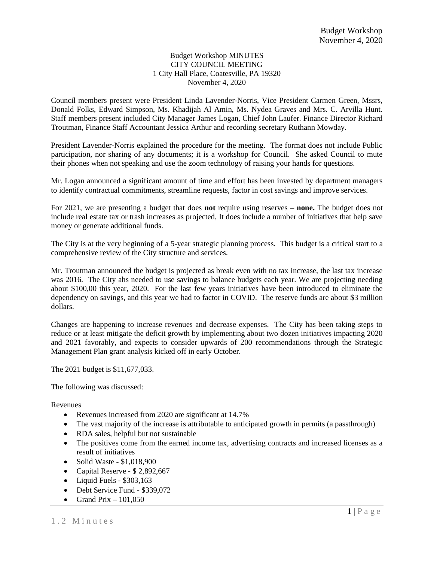## Budget Workshop MINUTES CITY COUNCIL MEETING 1 City Hall Place, Coatesville, PA 19320 November 4, 2020

Council members present were President Linda Lavender-Norris, Vice President Carmen Green, Mssrs, Donald Folks, Edward Simpson, Ms. Khadijah Al Amin, Ms. Nydea Graves and Mrs. C. Arvilla Hunt. Staff members present included City Manager James Logan, Chief John Laufer. Finance Director Richard Troutman, Finance Staff Accountant Jessica Arthur and recording secretary Ruthann Mowday.

President Lavender-Norris explained the procedure for the meeting. The format does not include Public participation, nor sharing of any documents; it is a workshop for Council. She asked Council to mute their phones when not speaking and use the zoom technology of raising your hands for questions.

Mr. Logan announced a significant amount of time and effort has been invested by department managers to identify contractual commitments, streamline requests, factor in cost savings and improve services.

For 2021, we are presenting a budget that does **not** require using reserves – **none.** The budget does not include real estate tax or trash increases as projected, It does include a number of initiatives that help save money or generate additional funds.

The City is at the very beginning of a 5-year strategic planning process. This budget is a critical start to a comprehensive review of the City structure and services.

Mr. Troutman announced the budget is projected as break even with no tax increase, the last tax increase was 2016. The City ahs needed to use savings to balance budgets each year. We are projecting needing about \$100,00 this year, 2020. For the last few years initiatives have been introduced to eliminate the dependency on savings, and this year we had to factor in COVID. The reserve funds are about \$3 million dollars.

Changes are happening to increase revenues and decrease expenses. The City has been taking steps to reduce or at least mitigate the deficit growth by implementing about two dozen initiatives impacting 2020 and 2021 favorably, and expects to consider upwards of 200 recommendations through the Strategic Management Plan grant analysis kicked off in early October.

The 2021 budget is \$11,677,033.

The following was discussed:

Revenues

- Revenues increased from 2020 are significant at 14.7%
- The vast majority of the increase is attributable to anticipated growth in permits (a passthrough)
- RDA sales, helpful but not sustainable
- The positives come from the earned income tax, advertising contracts and increased licenses as a result of initiatives
- Solid Waste \$1,018,900
- Capital Reserve \$ 2,892,667
- Liquid Fuels \$303,163
- Debt Service Fund \$339,072
- Grand Prix  $-101,050$